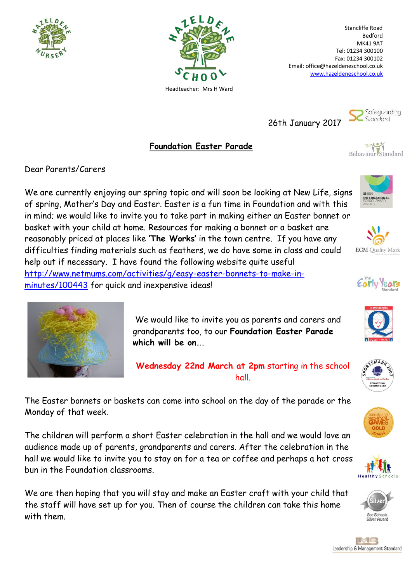



Stancliffe Road Bedford MK41 9AT Tel: 01234 300100 Fax: 01234 300102 Email: office@hazeldeneschool.co.uk [www.hazeldeneschool.co.uk](http://www.hazeldeneschool.co.uk/)

26th January 2017



**Foundation Easter Parade**

Behaviour Standard

Dear Parents/Carers

We are currently enjoying our spring topic and will soon be looking at New Life, signs of spring, Mother's Day and Easter. Easter is a fun time in Foundation and with this in mind; we would like to invite you to take part in making either an Easter bonnet or basket with your child at home. Resources for making a bonnet or a basket are reasonably priced at places like **'The Works'** in the town centre. If you have any difficulties finding materials such as feathers, we do have some in class and could help out if necessary. I have found the following website quite useful [http://www.netmums.com/activities/g/easy-easter-bonnets-to-make-in](http://www.netmums.com/activities/g/easy-easter-bonnets-to-make-in-minutes/100443)[minutes/100443](http://www.netmums.com/activities/g/easy-easter-bonnets-to-make-in-minutes/100443) for quick and inexpensive ideas!



We would like to invite you as parents and carers and grandparents too, to our **Foundation Easter Parade which will be on**….

**Wednesday 22nd March at 2pm** starting in the school hall.

The Easter bonnets or baskets can come into school on the day of the parade or the Monday of that week.

The children will perform a short Easter celebration in the hall and we would love an audience made up of parents, grandparents and carers. After the celebration in the hall we would like to invite you to stay on for a tea or coffee and perhaps a hot cross bun in the Foundation classrooms.

We are then hoping that you will stay and make an Easter craft with your child that the staff will have set up for you. Then of course the children can take this home with them.